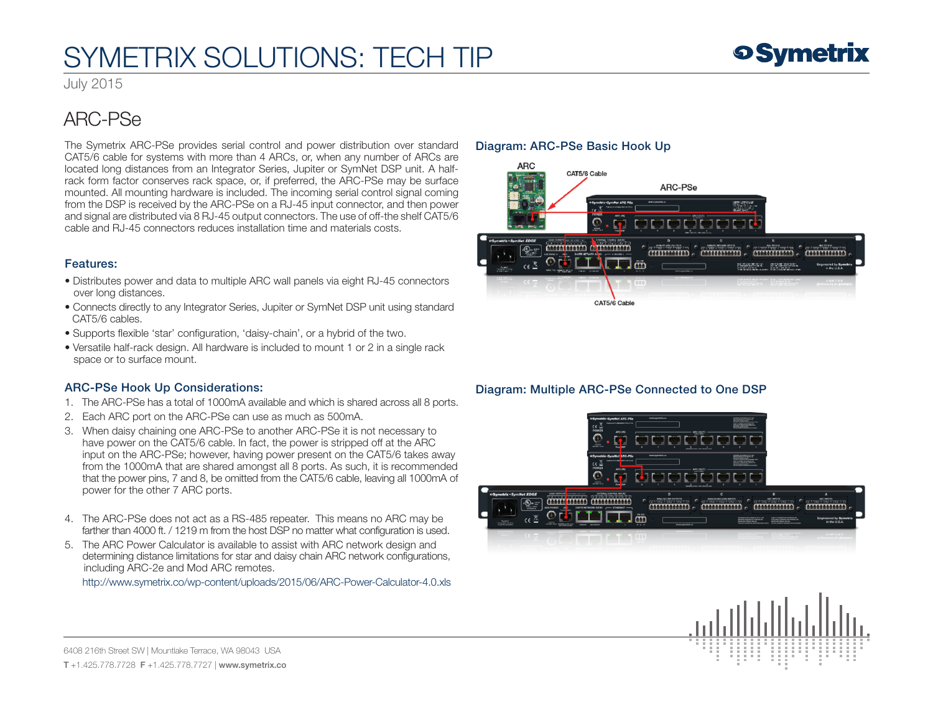# SYMETRIX SOLUTIONS: TECH TIP

July 2015

### ARC-PSe

The Symetrix ARC-PSe provides serial control and power distribution over standard CAT5/6 cable for systems with more than 4 ARCs, or, when any number of ARCs are located long distances from an Integrator Series, Jupiter or SymNet DSP unit. A halfrack form factor conserves rack space, or, if preferred, the ARC-PSe may be surface mounted. All mounting hardware is included. The incoming serial control signal coming from the DSP is received by the ARC-PSe on a RJ-45 input connector, and then power and signal are distributed via 8 RJ-45 output connectors. The use of off-the shelf CAT5/6 cable and RJ-45 connectors reduces installation time and materials costs.

#### Features:

- Distributes power and data to multiple ARC wall panels via eight RJ-45 connectors over long distances.
- Connects directly to any Integrator Series, Jupiter or SymNet DSP unit using standard CAT5/6 cables.
- Supports flexible 'star' configuration, 'daisy-chain', or a hybrid of the two.
- Versatile half-rack design. All hardware is included to mount 1 or 2 in a single rack space or to surface mount.

### ARC-PSe Hook Up Considerations:

- 1. The ARC-PSe has a total of 1000mA available and which is shared across all 8 ports.
- 2. Each ARC port on the ARC-PSe can use as much as 500mA.
- 3. When daisy chaining one ARC-PSe to another ARC-PSe it is not necessary to have power on the CAT5/6 cable. In fact, the power is stripped off at the ARC input on the ARC-PSe; however, having power present on the CAT5/6 takes away from the 1000mA that are shared amongst all 8 ports. As such, it is recommended that the power pins, 7 and 8, be omitted from the CAT5/6 cable, leaving all 1000mA of power for the other 7 ARC ports.
- 4. The ARC-PSe does not act as a RS-485 repeater. This means no ARC may be farther than 4000 ft. / 1219 m from the host DSP no matter what configuration is used.
- 5. The ARC Power Calculator is available to assist with ARC network design and determining distance limitations for star and daisy chain ARC network configurations, including ARC-2e and Mod ARC remotes.

<http://www.symetrix.co/wp-content/uploads/2015/06/ARC-Power-Calculator-4.0.xls>

### Diagram: ARC-PSe Basic Hook Up



### Diagram: Multiple ARC-PSe Connected to One DSP





6408 216th Street SW | Mountlake Terrace, WA 98043 USA T +1.425.778.7728 F +1.425.778.7727 | www.symetrix.co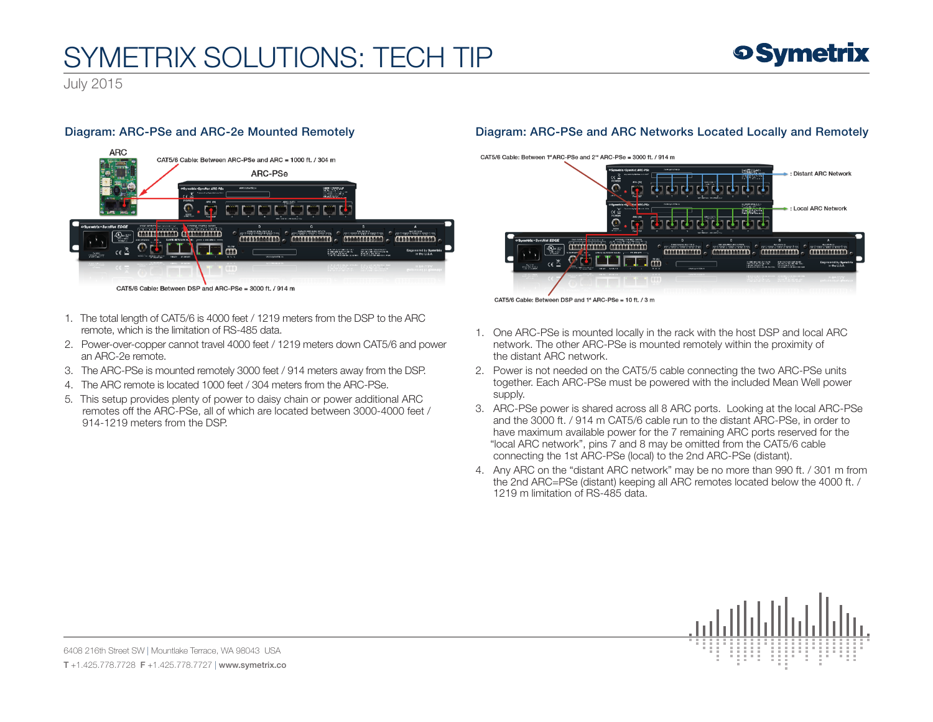# SYMETRIX SOLUTIONS: TECH TIP

July 2015

### Diagram: ARC-PSe and ARC-2e Mounted Remotely



- 1. The total length of CAT5/6 is 4000 feet / 1219 meters from the DSP to the ARC remote, which is the limitation of RS-485 data.
- 2. Power-over-copper cannot travel 4000 feet / 1219 meters down CAT5/6 and power an ARC-2e remote.
- 3. The ARC-PSe is mounted remotely 3000 feet / 914 meters away from the DSP.
- 4. The ARC remote is located 1000 feet / 304 meters from the ARC-PSe.
- 5. This setup provides plenty of power to daisy chain or power additional ARC remotes off the ARC-PSe, all of which are located between 3000-4000 feet / 914-1219 meters from the DSP.

### Diagram: ARC-PSe and ARC Networks Located Locally and Remotely

CAT5/6 Cable: Between 1<sup>st</sup> ARC-PSe and 2<sup>nd</sup> ARC-PSe = 3000 ft. / 914 m



CAT5/6 Cable: Between DSP and 1" ARC-PSe = 10 ft. / 3 m

- 1. One ARC-PSe is mounted locally in the rack with the host DSP and local ARC network. The other ARC-PSe is mounted remotely within the proximity of the distant ARC network.
- 2. Power is not needed on the CAT5/5 cable connecting the two ARC-PSe units together. Each ARC-PSe must be powered with the included Mean Well power supply.
- 3. ARC-PSe power is shared across all 8 ARC ports. Looking at the local ARC-PSe and the 3000 ft. / 914 m CAT5/6 cable run to the distant ARC-PSe, in order to have maximum available power for the 7 remaining ARC ports reserved for the "local ARC network", pins 7 and 8 may be omitted from the CAT5/6 cable connecting the 1st ARC-PSe (local) to the 2nd ARC-PSe (distant).
- 4. Any ARC on the "distant ARC network" may be no more than 990 ft. / 301 m from the 2nd ARC=PSe (distant) keeping all ARC remotes located below the 4000 ft. / 1219 m limitation of RS-485 data.